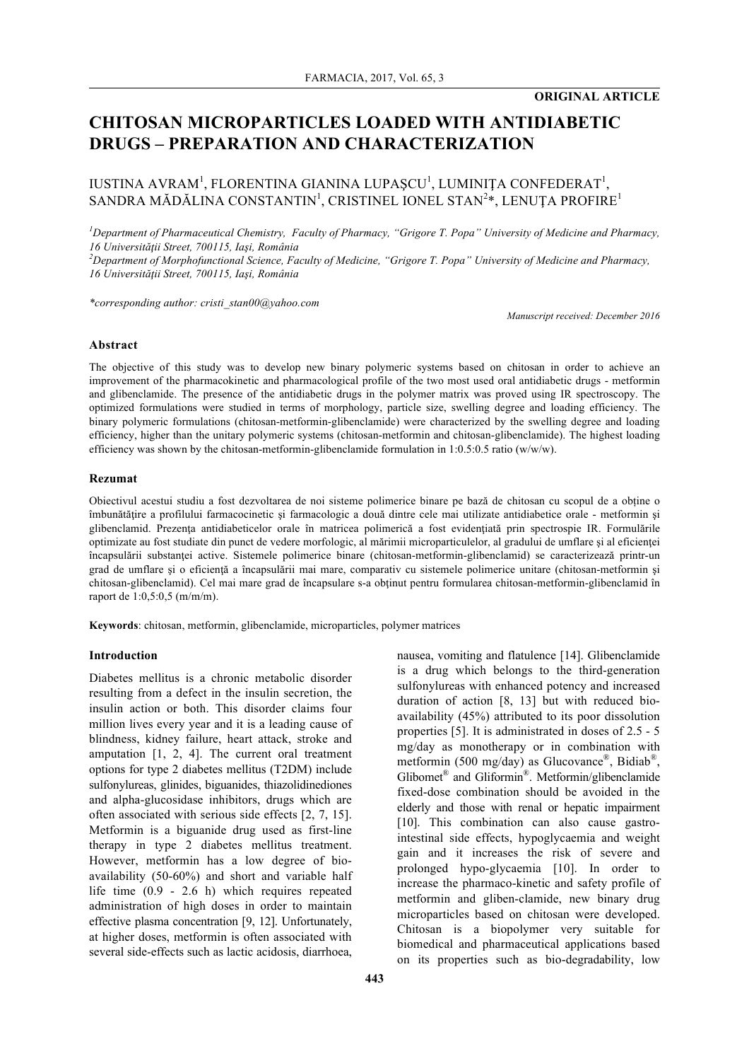# **CHITOSAN MICROPARTICLES LOADED WITH ANTIDIABETIC DRUGS – PREPARATION AND CHARACTERIZATION**

# IUSTINA AVRAM<sup>1</sup>, FLORENTINA GIANINA LUPAȘ $\mathop{\rm CU}\nolimits^{\rm l}$ , LUMINIȚA CONFEDERAT $^{\rm l}$ , SANDRA MĂDĂLINA CONSTANTIN<sup>1</sup>, CRISTINEL IONEL STAN $^{2}\ast,$  LENUȚA PROFIRE $^{1}$

<sup>*I*</sup> Department of Pharmaceutical Chemistry, Faculty of Pharmacy, "Grigore T. Popa" University of Medicine and Pharmacy, *16 Universităţii Street, 700115, Iaşi, România*

*2 Department of Morphofunctional Science, Faculty of Medicine, "Grigore T. Popa" University of Medicine and Pharmacy, 16 Universităţii Street, 700115, Iaşi, România*

*\*corresponding author: cristi\_stan00@yahoo.com*

*Manuscript received: December 2016*

#### **Abstract**

The objective of this study was to develop new binary polymeric systems based on chitosan in order to achieve an improvement of the pharmacokinetic and pharmacological profile of the two most used oral antidiabetic drugs - metformin and glibenclamide. The presence of the antidiabetic drugs in the polymer matrix was proved using IR spectroscopy. The optimized formulations were studied in terms of morphology, particle size, swelling degree and loading efficiency. The binary polymeric formulations (chitosan-metformin-glibenclamide) were characterized by the swelling degree and loading efficiency, higher than the unitary polymeric systems (chitosan-metformin and chitosan-glibenclamide). The highest loading efficiency was shown by the chitosan-metformin-glibenclamide formulation in 1:0.5:0.5 ratio (w/w/w).

#### **Rezumat**

Obiectivul acestui studiu a fost dezvoltarea de noi sisteme polimerice binare pe bază de chitosan cu scopul de a obține o îmbunătăţire a profilului farmacocinetic şi farmacologic a două dintre cele mai utilizate antidiabetice orale - metformin şi glibenclamid. Prezența antidiabeticelor orale în matricea polimerică a fost evidențiată prin spectrospie IR. Formulările optimizate au fost studiate din punct de vedere morfologic, al mărimii microparticulelor, al gradului de umflare și al eficienței încapsulării substanţei active. Sistemele polimerice binare (chitosan-metformin-glibenclamid) se caracterizează printr-un grad de umflare și o eficiență a încapsulării mai mare, comparativ cu sistemele polimerice unitare (chitosan-metformin și chitosan-glibenclamid). Cel mai mare grad de încapsulare s-a obţinut pentru formularea chitosan-metformin-glibenclamid în raport de 1:0,5:0,5 (m/m/m).

**Keywords**: chitosan, metformin, glibenclamide, microparticles, polymer matrices

#### **Introduction**

Diabetes mellitus is a chronic metabolic disorder resulting from a defect in the insulin secretion, the insulin action or both. This disorder claims four million lives every year and it is a leading cause of blindness, kidney failure, heart attack, stroke and amputation [1, 2, 4]. The current oral treatment options for type 2 diabetes mellitus (T2DM) include sulfonylureas, glinides, biguanides, thiazolidinediones and alpha-glucosidase inhibitors, drugs which are often associated with serious side effects [2, 7, 15]. Metformin is a biguanide drug used as first-line therapy in type 2 diabetes mellitus treatment. However, metformin has a low degree of bioavailability (50-60%) and short and variable half life time (0.9 - 2.6 h) which requires repeated administration of high doses in order to maintain effective plasma concentration [9, 12]. Unfortunately, at higher doses, metformin is often associated with several side-effects such as lactic acidosis, diarrhoea,

properties [5]. It is administrated in doses of 2.5 - 5 mg/day as monotherapy or in combination with metformin (500 mg/day) as Glucovance®, Bidiab®, Glibomet® and Gliformin®. Metformin/glibenclamide fixed-dose combination should be avoided in the elderly and those with renal or hepatic impairment [10]. This combination can also cause gastrointestinal side effects, hypoglycaemia and weight gain and it increases the risk of severe and prolonged hypo-glycaemia [10]. In order to increase the pharmaco-kinetic and safety profile of metformin and gliben-clamide, new binary drug microparticles based on chitosan were developed. Chitosan is a biopolymer very suitable for biomedical and pharmaceutical applications based on its properties such as bio-degradability, low

nausea, vomiting and flatulence [14]. Glibenclamide is a drug which belongs to the third-generation sulfonylureas with enhanced potency and increased duration of action [8, 13] but with reduced bioavailability (45%) attributed to its poor dissolution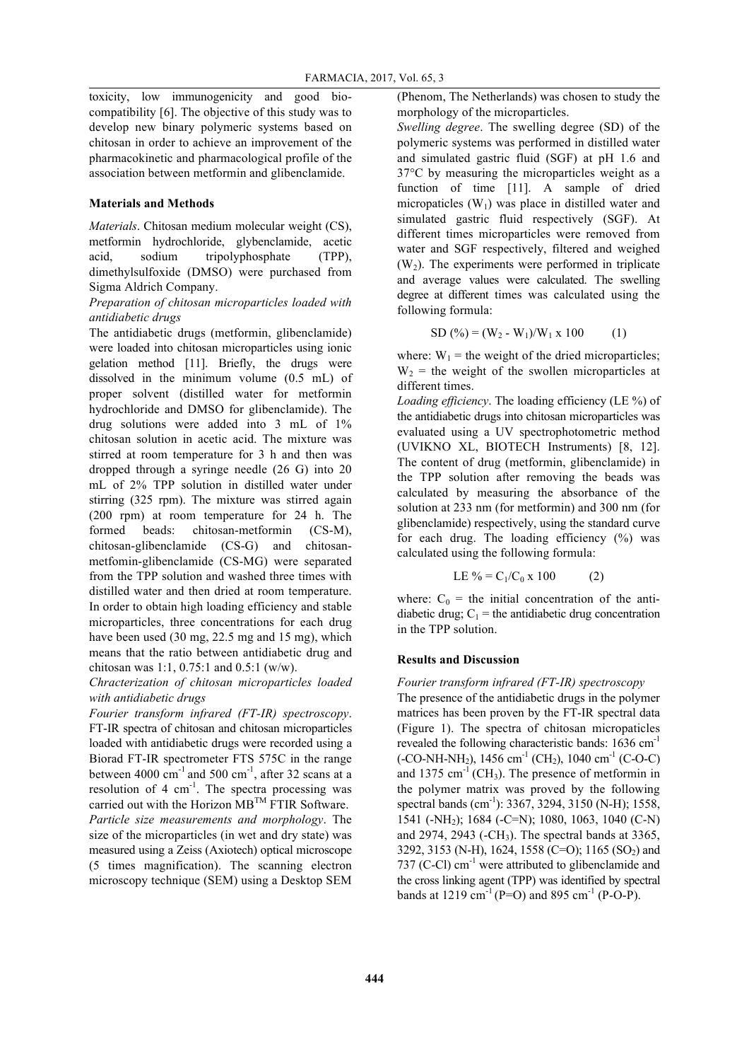toxicity, low immunogenicity and good biocompatibility [6]. The objective of this study was to develop new binary polymeric systems based on chitosan in order to achieve an improvement of the pharmacokinetic and pharmacological profile of the association between metformin and glibenclamide.

#### **Materials and Methods**

*Materials*. Chitosan medium molecular weight (CS), metformin hydrochloride, glybenclamide, acetic acid, sodium tripolyphosphate (TPP), dimethylsulfoxide (DMSO) were purchased from Sigma Aldrich Company.

## *Preparation of chitosan microparticles loaded with antidiabetic drugs*

The antidiabetic drugs (metformin, glibenclamide) were loaded into chitosan microparticles using ionic gelation method [11]. Briefly, the drugs were dissolved in the minimum volume (0.5 mL) of proper solvent (distilled water for metformin hydrochloride and DMSO for glibenclamide). The drug solutions were added into 3 mL of 1% chitosan solution in acetic acid. The mixture was stirred at room temperature for 3 h and then was dropped through a syringe needle (26 G) into 20 mL of 2% TPP solution in distilled water under stirring (325 rpm). The mixture was stirred again (200 rpm) at room temperature for 24 h. The formed beads: chitosan-metformin (CS-M), chitosan-glibenclamide (CS-G) and chitosanmetfomin-glibenclamide (CS-MG) were separated from the TPP solution and washed three times with distilled water and then dried at room temperature. In order to obtain high loading efficiency and stable microparticles, three concentrations for each drug have been used (30 mg, 22.5 mg and 15 mg), which means that the ratio between antidiabetic drug and chitosan was 1:1, 0.75:1 and 0.5:1 (w/w).

# *Chracterization of chitosan microparticles loaded with antidiabetic drugs*

*Fourier transform infrared (FT-IR) spectroscopy*. FT-IR spectra of chitosan and chitosan microparticles loaded with antidiabetic drugs were recorded using a Biorad FT-IR spectrometer FTS 575C in the range between  $4000 \text{ cm}^{-1}$  and  $500 \text{ cm}^{-1}$ , after 32 scans at a resolution of 4  $cm^{-1}$ . The spectra processing was carried out with the Horizon  $MB^{TM}$  FTIR Software. *Particle size measurements and morphology*. The size of the microparticles (in wet and dry state) was measured using a Zeiss (Axiotech) optical microscope (5 times magnification). The scanning electron microscopy technique (SEM) using a Desktop SEM

(Phenom, The Netherlands) was chosen to study the morphology of the microparticles.

*Swelling degree*. The swelling degree (SD) of the polymeric systems was performed in distilled water and simulated gastric fluid (SGF) at pH 1.6 and 37°C by measuring the microparticles weight as a function of time [11]. A sample of dried micropaticles  $(W_1)$  was place in distilled water and simulated gastric fluid respectively (SGF). At different times microparticles were removed from water and SGF respectively, filtered and weighed  $(W<sub>2</sub>)$ . The experiments were performed in triplicate and average values were calculated. The swelling degree at different times was calculated using the following formula:

$$
SD (%) = (W_2 - W_1)/W_1 \times 100
$$
 (1)

where:  $W_1$  = the weight of the dried microparticles;  $W_2$  = the weight of the swollen microparticles at different times.

*Loading efficiency*. The loading efficiency (LE %) of the antidiabetic drugs into chitosan microparticles was evaluated using a UV spectrophotometric method (UVIKNO XL, BIOTECH Instruments) [8, 12]. The content of drug (metformin, glibenclamide) in the TPP solution after removing the beads was calculated by measuring the absorbance of the solution at 233 nm (for metformin) and 300 nm (for glibenclamide) respectively, using the standard curve for each drug. The loading efficiency (%) was calculated using the following formula:

$$
LE\% = C_1/C_0 \times 100 \tag{2}
$$

where:  $C_0$  = the initial concentration of the antidiabetic drug;  $C_1$  = the antidiabetic drug concentration in the TPP solution.

#### **Results and Discussion**

*Fourier transform infrared (FT-IR) spectroscopy* The presence of the antidiabetic drugs in the polymer matrices has been proven by the FT-IR spectral data (Figure 1). The spectra of chitosan micropaticles revealed the following characteristic bands:  $1636 \text{ cm}^{-1}$  $(-CO-NH-NH<sub>2</sub>)$ , 1456 cm<sup>-1</sup> (CH<sub>2</sub>), 1040 cm<sup>-1</sup> (C-O-C) and  $1375 \text{ cm}^{-1}$  (CH<sub>3</sub>). The presence of metformin in the polymer matrix was proved by the following spectral bands (cm<sup>-1</sup>): 3367, 3294, 3150 (N-H); 1558, 1541 (-NH2); 1684 (-C=N); 1080, 1063, 1040 (C-N) and 2974, 2943  $(-CH_3)$ . The spectral bands at 3365, 3292, 3153 (N-H), 1624, 1558 (C=O); 1165 (SO<sub>2</sub>) and 737 (C-Cl)  $cm^{-1}$  were attributed to glibenclamide and the cross linking agent (TPP) was identified by spectral bands at 1219 cm<sup>-1</sup> (P=O) and 895 cm<sup>-1</sup> (P-O-P).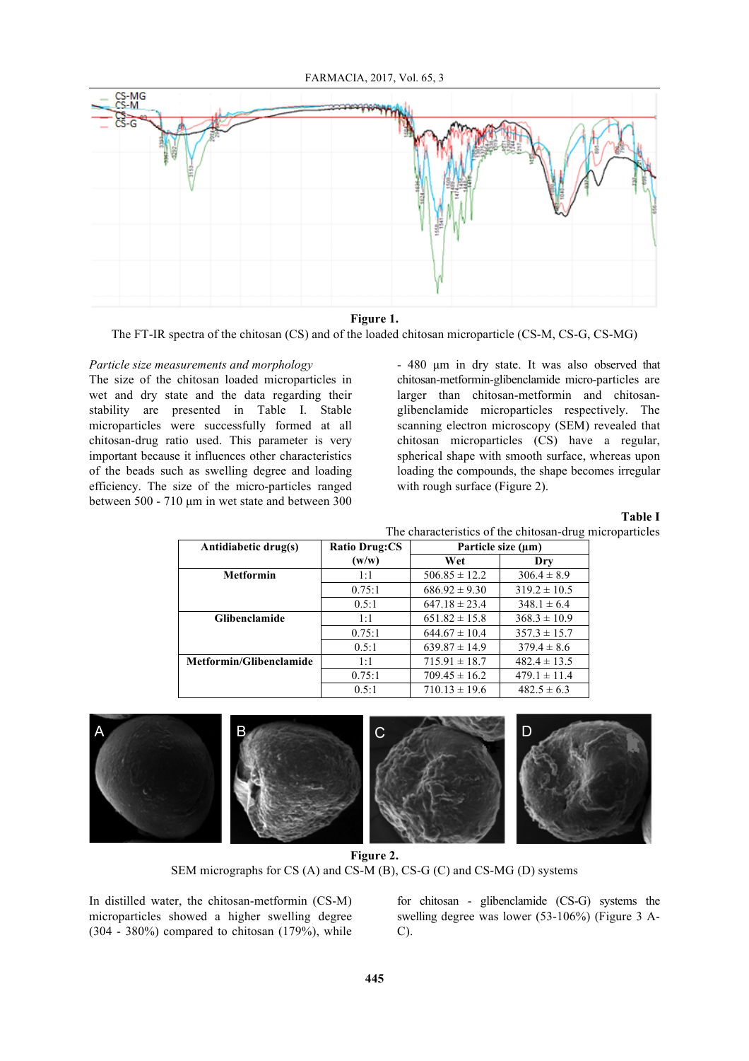FARMACIA, 2017, Vol. 65, 3



**Figure 1.**

The FT-IR spectra of the chitosan (CS) and of the loaded chitosan microparticle (CS-M, CS-G, CS-MG)

# *Particle size measurements and morphology*

The size of the chitosan loaded microparticles in wet and dry state and the data regarding their stability are presented in Table I. Stable microparticles were successfully formed at all chitosan-drug ratio used. This parameter is very important because it influences other characteristics of the beads such as swelling degree and loading efficiency. The size of the micro-particles ranged between 500 - 710 µm in wet state and between 300 - 480 µm in dry state. It was also observed that chitosan-metformin-glibenclamide micro-particles are larger than chitosan-metformin and chitosanglibenclamide microparticles respectively. The scanning electron microscopy (SEM) revealed that chitosan microparticles (CS) have a regular, spherical shape with smooth surface, whereas upon loading the compounds, the shape becomes irregular with rough surface (Figure 2).

**Table I**

| The characteristics of the chitosan-drug microparticles |  |  |
|---------------------------------------------------------|--|--|
|                                                         |  |  |

| Antidiabetic drug(s)    | <b>Ratio Drug:CS</b> | Particle size (µm) |                  |  |
|-------------------------|----------------------|--------------------|------------------|--|
|                         | (w/w)                | Wet                | Dry              |  |
| <b>Metformin</b>        | 1:1                  | $506.85 \pm 12.2$  | $306.4 \pm 8.9$  |  |
|                         | 0.75:1               | $686.92 \pm 9.30$  | $319.2 \pm 10.5$ |  |
|                         | 0.5:1                | $647.18 \pm 23.4$  | $348.1 \pm 6.4$  |  |
| <b>Glibenclamide</b>    | 1:1                  | $651.82 \pm 15.8$  | $368.3 \pm 10.9$ |  |
|                         | 0.75:1               | $644.67 \pm 10.4$  | $357.3 \pm 15.7$ |  |
|                         | 0.5:1                | $639.87 \pm 14.9$  | $379.4 \pm 8.6$  |  |
| Metformin/Glibenclamide | 1:1                  | $715.91 \pm 18.7$  | $482.4 \pm 13.5$ |  |
|                         | 0.75:1               | $709.45 \pm 16.2$  | $479.1 \pm 11.4$ |  |
|                         | 0.5:1                | $710.13 \pm 19.6$  | $482.5 \pm 6.3$  |  |



**Figure 2.** SEM micrographs for CS (A) and CS-M (B), CS-G (C) and CS-MG (D) systems

In distilled water, the chitosan-metformin (CS-M) microparticles showed a higher swelling degree  $(304 - 380\%)$  compared to chitosan  $(179\%)$ , while

for chitosan - glibenclamide (CS-G) systems the swelling degree was lower (53-106%) (Figure 3 A- $C$ ).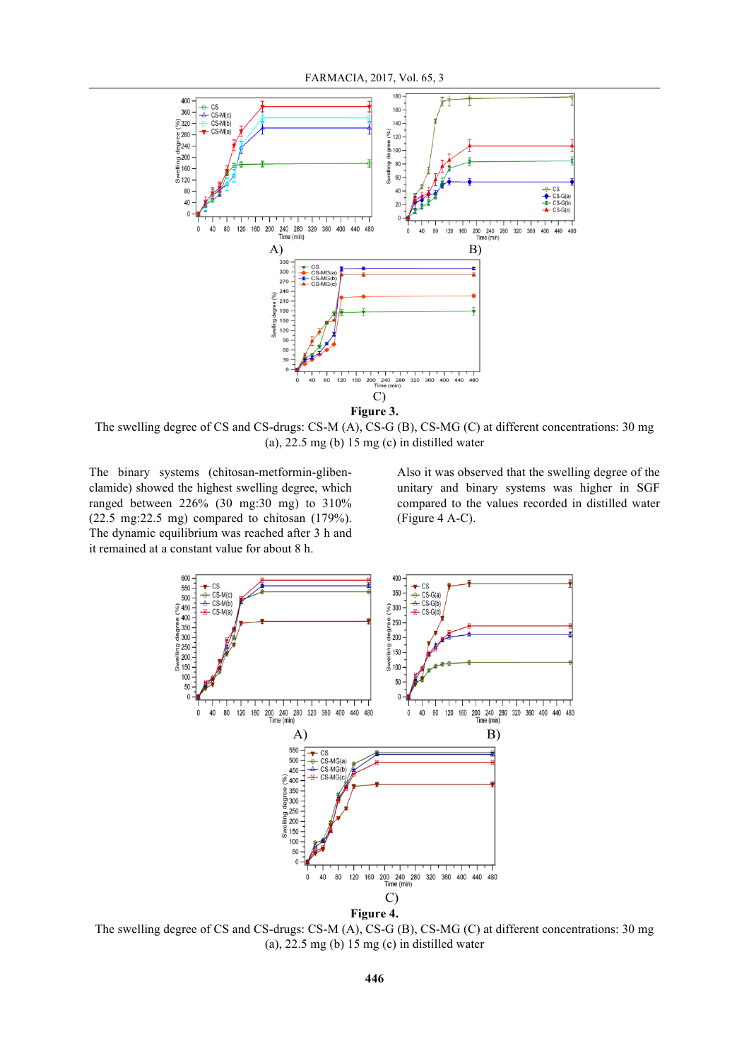

**Figure 3.**

The swelling degree of CS and CS-drugs: CS-M (A), CS-G (B), CS-MG (C) at different concentrations: 30 mg (a),  $22.5 \text{ mg}$  (b)  $15 \text{ mg}$  (c) in distilled water

The binary systems (chitosan-metformin-glibenclamide) showed the highest swelling degree, which ranged between 226% (30 mg:30 mg) to 310% (22.5 mg:22.5 mg) compared to chitosan (179%). The dynamic equilibrium was reached after 3 h and it remained at a constant value for about 8 h.

Also it was observed that the swelling degree of the unitary and binary systems was higher in SGF compared to the values recorded in distilled water (Figure 4 A-C).



The swelling degree of CS and CS-drugs: CS-M (A), CS-G (B), CS-MG (C) at different concentrations: 30 mg (a),  $22.5 \text{ mg}$  (b)  $15 \text{ mg}$  (c) in distilled water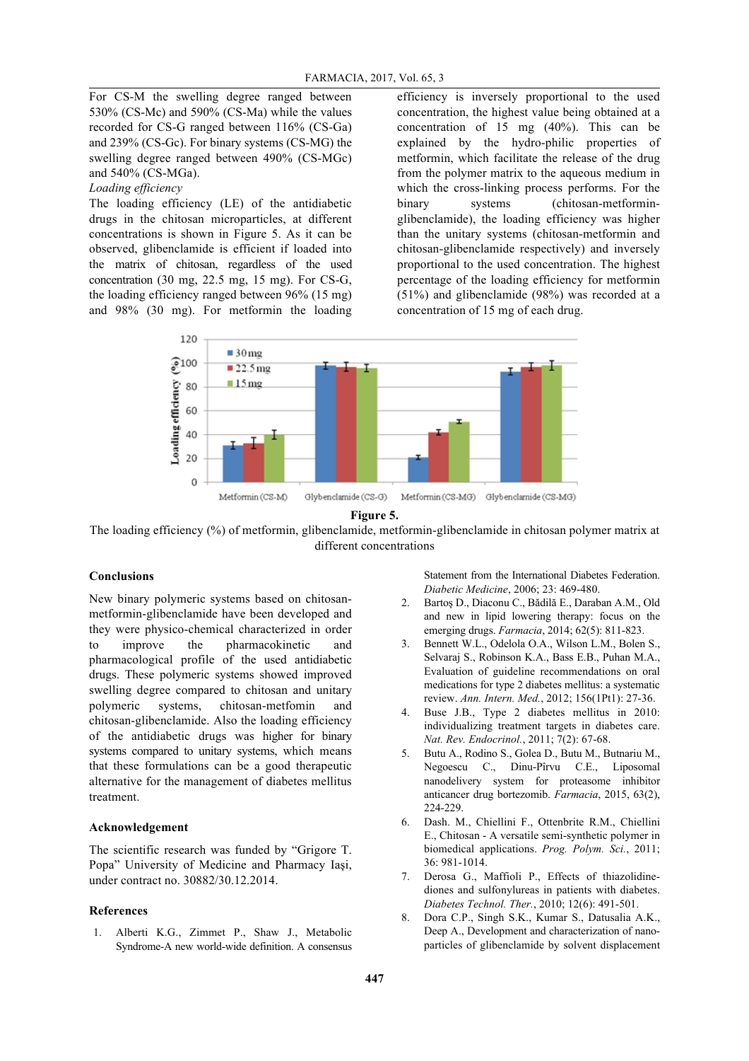For CS-M the swelling degree ranged between 530% (CS-Mc) and 590% (CS-Ma) while the values recorded for CS-G ranged between 116% (CS-Ga) and 239% (CS-Gc). For binary systems (CS-MG) the swelling degree ranged between 490% (CS-MGc) and 540% (CS-MGa).

*Loading efficiency*

The loading efficiency (LE) of the antidiabetic drugs in the chitosan microparticles, at different concentrations is shown in Figure 5. As it can be observed, glibenclamide is efficient if loaded into the matrix of chitosan, regardless of the used concentration (30 mg, 22.5 mg, 15 mg). For CS-G, the loading efficiency ranged between 96% (15 mg) and 98% (30 mg). For metformin the loading efficiency is inversely proportional to the used concentration, the highest value being obtained at a concentration of 15 mg (40%). This can be explained by the hydro-philic properties of metformin, which facilitate the release of the drug from the polymer matrix to the aqueous medium in which the cross-linking process performs. For the binary systems (chitosan-metforminglibenclamide), the loading efficiency was higher than the unitary systems (chitosan-metformin and chitosan-glibenclamide respectively) and inversely proportional to the used concentration. The highest percentage of the loading efficiency for metformin (51%) and glibenclamide (98%) was recorded at a concentration of 15 mg of each drug.





The loading efficiency (%) of metformin, glibenclamide, metformin-glibenclamide in chitosan polymer matrix at different concentrations

### **Conclusions**

New binary polymeric systems based on chitosanmetformin-glibenclamide have been developed and they were physico-chemical characterized in order to improve the pharmacokinetic and pharmacological profile of the used antidiabetic drugs. These polymeric systems showed improved swelling degree compared to chitosan and unitary polymeric systems, chitosan-metfomin and chitosan-glibenclamide. Also the loading efficiency of the antidiabetic drugs was higher for binary systems compared to unitary systems, which means that these formulations can be a good therapeutic alternative for the management of diabetes mellitus treatment.

### **Acknowledgement**

The scientific research was funded by "Grigore T. Popa" University of Medicine and Pharmacy Iaşi, under contract no. 30882/30.12.2014.

#### **References**

1. Alberti K.G., Zimmet P., Shaw J., Metabolic Syndrome-A new world-wide definition. A consensus

Statement from the International Diabetes Federation. *Diabetic Medicine*, 2006; 23: 469-480.

- 2. Bartoş D., Diaconu C., Bădilă E., Daraban A.M., Old and new in lipid lowering therapy: focus on the emerging drugs. *Farmacia*, 2014; 62(5): 811-823.
- 3. Bennett W.L., Odelola O.A., Wilson L.M., Bolen S., Selvaraj S., Robinson K.A., Bass E.B., Puhan M.A., Evaluation of guideline recommendations on oral medications for type 2 diabetes mellitus: a systematic review. *Ann. Intern. Med.*, 2012; 156(1Pt1): 27-36.
- 4. Buse J.B., Type 2 diabetes mellitus in 2010: individualizing treatment targets in diabetes care. *Nat. Rev. Endocrinol.*, 2011; 7(2): 67-68.
- 5. Butu A., Rodino S., Golea D., Butu M., Butnariu M., Negoescu C., Dinu-Pîrvu C.E., Liposomal nanodelivery system for proteasome inhibitor anticancer drug bortezomib. *Farmacia*, 2015, 63(2), 224-229.
- 6. Dash. M., Chiellini F., Ottenbrite R.M., Chiellini E., Chitosan - A versatile semi-synthetic polymer in biomedical applications. *Prog. Polym. Sci.*, 2011; 36: 981-1014.
- 7. Derosa G., Maffioli P., Effects of thiazolidinediones and sulfonylureas in patients with diabetes. *Diabetes Technol. Ther.*, 2010; 12(6): 491-501.
- 8. Dora C.P., Singh S.K., Kumar S., Datusalia A.K., Deep A., Development and characterization of nanoparticles of glibenclamide by solvent displacement